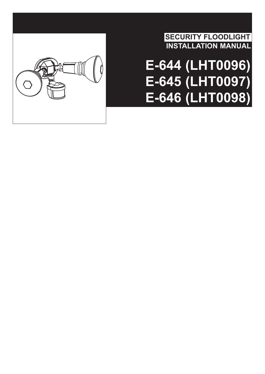

**SECURITY FLOODLIGHT INSTALLATION MANUAL**

# **E-644 (LHT0096) E-645 (LHT0097) E-646 (LHT0098)**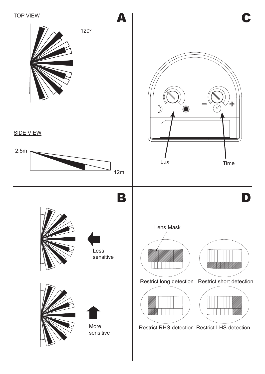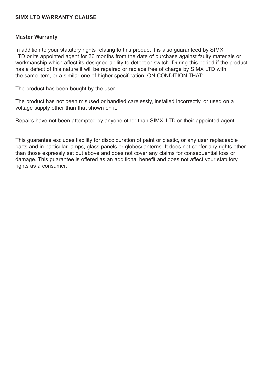### **SIMX LTD WARRANTY CLAUSE**

#### **Master Warranty**

In addition to your statutory rights relating to this product it is also guaranteed by SIMX LTD or its appointed agent for 36 months from the date of purchase against faulty materials or workmanship which affect its designed ability to detect or switch. During this period if the product has a defect of this nature it will be repaired or replace free of charge by SIMX LTD with the same item, or a similar one of higher specification. ON CONDITION THAT:-

The product has been bought by the user.

The product has not been misused or handled carelessly, installed incorrectly, or used on a voltage supply other than that shown on it.

Repairs have not been attempted by anyone other than SIMX LTD or their appointed agent..

This guarantee excludes liability for discolouration of paint or plastic, or any user replaceable parts and in particular lamps, glass panels or globes/lanterns. It does not confer any rights other than those expressly set out above and does not cover any claims for consequential loss or damage. This guarantee is offered as an additional benefit and does not affect your statutory rights as a consumer.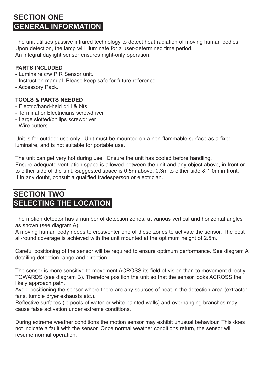# **SECTION ONE GENERAL INFORMATION**

The unit utilises passive infrared technology to detect heat radiation of moving human bodies. Upon detection, the lamp will illuminate for a user-determined time period. An integral daylight sensor ensures night-only operation.

### **PARTS INCLUDED**

- Luminaire c/w PIR Sensor unit.
- Instruction manual. Please keep safe for future reference.
- Accessory Pack.

### **TOOLS & PARTS NEEDED**

- Electric/hand-held drill & bits.
- Terminal or Electricians screwdriver
- Large slotted/philips screwdriver
- Wire cutters

Unit is for outdoor use only. Unit must be mounted on a non-flammable surface as a fixed luminaire, and is not suitable for portable use.

The unit can get very hot during use. Ensure the unit has cooled before handling. Ensure adequate ventilation space is allowed between the unit and any object above, in front or to either side of the unit. Suggested space is 0.5m above, 0.3m to either side & 1.0m in front. If in any doubt, consult a qualified tradesperson or electrician.

# **SECTION TWO SELECTING THE LOCATION**

The motion detector has a number of detection zones, at various vertical and horizontal angles as shown (see diagram A).

A moving human body needs to cross/enter one of these zones to activate the sensor. The best all-round coverage is achieved with the unit mounted at the optimum height of 2.5m.

Careful positioning of the sensor will be required to ensure optimum performance. See diagram A detailing detection range and direction.

The sensor is more sensitive to movement ACROSS its field of vision than to movement directly TOWARDS (see diagram B). Therefore position the unit so that the sensor looks ACROSS the likely approach path.

Avoid positioning the sensor where there are any sources of heat in the detection area (extractor fans, tumble dryer exhausts etc.).

Reflective surfaces (ie pools of water or white-painted walls) and overhanging branches may cause false activation under extreme conditions.

During extreme weather conditions the motion sensor may exhibit unusual behaviour. This does not indicate a fault with the sensor. Once normal weather conditions return, the sensor will resume normal operation.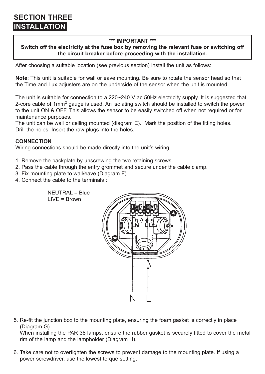#### **\*\*\* IMPORTANT \*\*\***

### **Switch off the electricity at the fuse box by removing the relevant fuse or switching off the circuit breaker before proceeding with the installation.**

After choosing a suitable location (see previous section) install the unit as follows:

**Note**: This unit is suitable for wall or eave mounting. Be sure to rotate the sensor head so that the Time and Lux adjusters are on the underside of the sensor when the unit is mounted.

The unit is suitable for connection to a 220~240 V ac 50Hz electricity supply. It is suggested that 2-core cable of 1mm<sup>2</sup> gauge is used. An isolating switch should be installed to switch the power to the unit ON & OFF. This allows the sensor to be easily switched off when not required or for maintenance purposes.

The unit can be wall or ceiling mounted (diagram E). Mark the position of the fitting holes. Drill the holes. Insert the raw plugs into the holes.

#### **CONNECTION**

Wiring connections should be made directly into the unit's wiring.

- 1. Remove the backplate by unscrewing the two retaining screws.
- 2. Pass the cable through the entry grommet and secure under the cable clamp.
- 3. Fix mounting plate to wall/eave (Diagram F)
- 4. Connect the cable to the terminals :



5. Re-fit the junction box to the mounting plate, ensuring the foam gasket is correctly in place (Diagram G).

When installing the PAR 38 lamps, ensure the rubber gasket is securely fitted to cover the metal rim of the lamp and the lampholder (Diagram H).

6. Take care not to overtighten the screws to prevent damage to the mounting plate. If using a power screwdriver, use the lowest torque setting.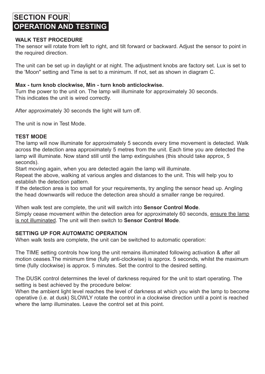# **SECTION FOUR OPERATION AND TESTING**

### **WALK TEST PROCEDURE**

The sensor will rotate from left to right, and tilt forward or backward. Adjust the sensor to point in the required direction.

The unit can be set up in daylight or at night. The adjustment knobs are factory set. Lux is set to the 'Moon" setting and Time is set to a minimum. If not, set as shown in diagram C.

#### **Max - turn knob clockwise, Min - turn knob anticlockwise.**

Turn the power to the unit on. The lamp will illuminate for approximately 30 seconds. This indicates the unit is wired correctly.

After approximately 30 seconds the light will turn off.

The unit is now in Test Mode.

### **TEST MODE**

The lamp will now illuminate for approximately 5 seconds every time movement is detected. Walk across the detection area approximately 5 metres from the unit. Each time you are detected the lamp will illuminate. Now stand still until the lamp extinguishes (this should take approx, 5 seconds).

Start moving again, when you are detected again the lamp will illuminate.

Repeat the above, walking at various angles and distances to the unit. This will help you to establish the detection pattern.

If the detection area is too small for your requirements, try angling the sensor head up. Angling the head downwards will reduce the detection area should a smaller range be required.

When walk test are complete, the unit will switch into **Sensor Control Mode**. Simply cease movement within the detection area for approximately 60 seconds, ensure the lamp is not illuminated. The unit will then switch to **Sensor Control Mode**.

### **SETTING UP FOR AUTOMATIC OPERATION**

When walk tests are complete, the unit can be switched to automatic operation:

The TIME setting controls how long the unit remains illuminated following activation & after all motion ceases.The minimum time (fully anti-clockwise) is approx. 5 seconds, whilst the maximum time (fully clockwise) is approx. 5 minutes. Set the control to the desired setting.

The DUSK control determines the level of darkness required for the unit to start operating. The setting is best achieved by the procedure below:

When the ambient light level reaches the level of darkness at which you wish the lamp to become operative (i.e. at dusk) SLOWLY rotate the control in a clockwise direction until a point is reached where the lamp illuminates. Leave the control set at this point.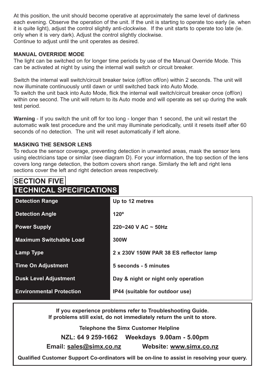At this position, the unit should become operative at approximately the same level of darkness each evening. Observe the operation of the unit. If the unit is starting to operate too early (ie. when it is quite light), adjust the control slightly anti-clockwise. If the unit starts to operate too late (ie. only when it is very dark). Adjust the control slightly clockwise. Continue to adjust until the unit operates as desired.

### **MANUAL OVERRIDE MODE**

The light can be switched on for longer time periods by use of the Manual Override Mode. This can be activated at night by using the internal wall switch or circuit breaker.

Switch the internal wall switch/circuit breaker twice (off/on off/on) within 2 seconds. The unit will now illuminate continuously until dawn or until switched back into Auto Mode. To switch the unit back into Auto Mode, flick the internal wall switch/circuit breaker once (off/on) within one second. The unit will return to its Auto mode and will operate as set up during the walk test period.

**Warning** - If you switch the unit off for too long - longer than 1 second, the unit wil restart the automatic walk test procedure and the unit may illuminate periodically, until it resets itself after 60 seconds of no detection. The unit will reset automatically if left alone.

### **MASKING THE SENSOR LENS**

To reduce the sensor coverage, preventing detection in unwanted areas, mask the sensor lens using electricians tape or similar (see diagram D). For your information, the top section of the lens covers long range detection, the bottom covers short range. Similarly the left and right lens sections cover the left and right detection areas respectively.

### **TECHNICAL SPECIFICATIONS SECTION FIVE**

| <b>Detection Range</b>          | Up to 12 metres                        |
|---------------------------------|----------------------------------------|
| <b>Detection Angle</b>          | $120^\circ$                            |
| <b>Power Supply</b>             | 220~240 V AC ~ 50Hz                    |
| Maximum Switchable Load         | 300W                                   |
| Lamp Type                       | 2 x 230V 150W PAR 38 ES reflector lamp |
| <b>Time On Adjustment</b>       | 5 seconds - 5 minutes                  |
| <b>Dusk Level Adjustment</b>    | Day & night or night only operation    |
| <b>Environmental Protection</b> | IP44 (suitable for outdoor use)        |

**If you experience problems refer to Troubleshooting Guide. If problems still exist, do not immediately return the unit to store.** 

**Telephone the Simx Customer Helpline**

**NZL: 64 9 259-1662 Weekdays 9.00am - 5.00pm Email: sales@simx.co.nz Website: www.simx.co.nz**

**Qualified Customer Support Co-ordinators will be on-line to assist in resolving your query.**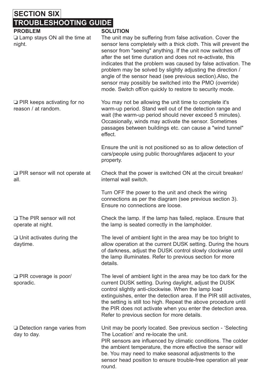# **SECTION SIX TROUBLESHOOTING GUIDE**

| <b>PROBLEM</b><br>$\Box$ Lamp stays ON all the time at<br>night. | <b>SOLUTION</b><br>The unit may be suffering from false activation. Cover the<br>sensor lens completely with a thick cloth. This will prevent the<br>sensor from "seeing" anything. If the unit now switches off<br>after the set time duration and does not re-activate, this<br>indicates that the problem was caused by false activation. The<br>problem may be solved by slightly adjusting the direction /<br>angle of the sensor head (see previous section).Also, the<br>sensor may possibly be switched into the PMO (override)<br>mode. Switch off/on quickly to restore to security mode. |
|------------------------------------------------------------------|-----------------------------------------------------------------------------------------------------------------------------------------------------------------------------------------------------------------------------------------------------------------------------------------------------------------------------------------------------------------------------------------------------------------------------------------------------------------------------------------------------------------------------------------------------------------------------------------------------|
| $\Box$ PIR keeps activating for no<br>reason / at random.        | You may not be allowing the unit time to complete it's<br>warm-up period. Stand well out of the detection range and<br>wait (the warm-up period should never exceed 5 minutes).<br>Occasionally, winds may activate the sensor. Sometimes<br>passages between buildings etc. can cause a "wind tunnel"<br>effect.                                                                                                                                                                                                                                                                                   |
|                                                                  | Ensure the unit is not positioned so as to allow detection of<br>cars/people using public thoroughfares adjacent to your<br>property.                                                                                                                                                                                                                                                                                                                                                                                                                                                               |
| PIR sensor will not operate at<br>all.                           | Check that the power is switched ON at the circuit breaker/<br>internal wall switch.                                                                                                                                                                                                                                                                                                                                                                                                                                                                                                                |
|                                                                  | Turn OFF the power to the unit and check the wiring<br>connections as per the diagram (see previous section 3).<br>Ensure no connections are loose.                                                                                                                                                                                                                                                                                                                                                                                                                                                 |
| The PIR sensor will not<br>operate at night.                     | Check the lamp. If the lamp has failed, replace. Ensure that<br>the lamp is seated correctly in the lampholder.                                                                                                                                                                                                                                                                                                                                                                                                                                                                                     |
| $\Box$ Unit activates during the<br>daytime.                     | The level of ambient light in the area may be too bright to<br>allow operation at the current DUSK setting. During the hours<br>of darkness, adjust the DUSK control slowly clockwise until<br>the lamp illuminates. Refer to previous section for more<br>details.                                                                                                                                                                                                                                                                                                                                 |
| PIR coverage is poor/<br>sporadic.                               | The level of ambient light in the area may be too dark for the<br>current DUSK setting. During daylight, adjust the DUSK<br>control slightly anti-clockwise. When the lamp load<br>extinguishes, enter the detection area. If the PIR still activates,<br>the setting is still too high. Repeat the above procedure until<br>the PIR does not activate when you enter the detection area.<br>Refer to previous section for more details.                                                                                                                                                            |
| $\Box$ Detection range varies from<br>day to day.                | Unit may be poorly located. See previous section - 'Selecting<br>The Location' and re-locate the unit.<br>PIR sensors are influenced by climatic conditions. The colder<br>the ambient temperature, the more effective the sensor will<br>be. You may need to make seasonal adjustments to the<br>sensor head position to ensure trouble-free operation all year<br>round.                                                                                                                                                                                                                          |